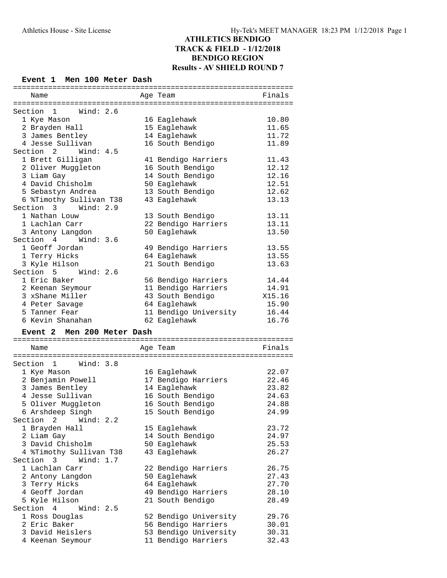#### **Event 1 Men 100 Meter Dash**

| Name                                   | Age Team                                     | Finals         |
|----------------------------------------|----------------------------------------------|----------------|
|                                        |                                              |                |
| Section<br>$\overline{1}$<br>Wind: 2.6 |                                              |                |
| 1 Kye Mason                            | 16 Eaglehawk                                 | 10.80          |
| 2 Brayden Hall                         | 15 Eaglehawk                                 | 11.65          |
| 3 James Bentley                        | 14 Eaglehawk                                 | 11.72          |
| 4 Jesse Sullivan                       | 16 South Bendigo                             | 11.89          |
| Section 2 Wind: 4.5                    |                                              |                |
| 1 Brett Gilligan                       | 41 Bendigo Harriers                          | 11.43          |
| 2 Oliver Muggleton                     | 16 South Bendigo                             | 12.12          |
| 3 Liam Gay                             | 14 South Bendigo                             | 12.16          |
| 4 David Chisholm                       | 50 Eaglehawk                                 | 12.51          |
| 5 Sebastyn Andrea                      | 13 South Bendigo                             | 12.62          |
| 6 %Timothy Sullivan T38                | 43 Eaglehawk                                 | 13.13          |
| Section 3 Wind: 2.9                    |                                              |                |
| 1 Nathan Louw                          | 13 South Bendigo                             | 13.11          |
| 1 Lachlan Carr                         | 22 Bendigo Harriers                          | 13.11          |
| 3 Antony Langdon                       | 50 Eaglehawk                                 | 13.50          |
| Section 4<br>Wind: $3.6$               |                                              |                |
| 1 Geoff Jordan                         | 49 Bendigo Harriers                          | 13.55          |
| 1 Terry Hicks                          | 64 Eaglehawk                                 | 13.55          |
| 3 Kyle Hilson                          | 21 South Bendigo                             | 13.63          |
| Section 5 Wind: 2.6                    |                                              |                |
| 1 Eric Baker                           | 56 Bendigo Harriers                          | 14.44          |
| 2 Keenan Seymour                       | 11 Bendigo Harriers                          | 14.91          |
| 3 xShane Miller                        | 43 South Bendigo                             | X15.16         |
| 4 Peter Savage                         | 64 Eaglehawk                                 | 15.90          |
|                                        |                                              |                |
|                                        |                                              |                |
| 5 Tanner Fear<br>6 Kevin Shanahan      | 11 Bendigo University                        | 16.44          |
|                                        | 62 Eaglehawk                                 | 16.76          |
| Event 2 Men 200 Meter Dash             |                                              |                |
|                                        |                                              |                |
| Name                                   | Age Team                                     | Finals         |
|                                        |                                              |                |
| Section 1 Wind: 3.8                    |                                              |                |
| 1 Kye Mason                            | 16 Eaglehawk                                 | 22.07          |
| 2 Benjamin Powell                      | 17 Bendigo Harriers                          | 22.46          |
| 3 James Bentley                        | 14 Eaglehawk                                 | 23.82          |
| 4 Jesse Sullivan                       | 16 South Bendigo                             | 24.63          |
| 5 Oliver Muggleton                     | 16 South Bendigo                             | 24.88          |
| 6 Arshdeep Singh                       | 15 South Bendigo                             | 24.99          |
| Section<br>2<br>Wind: $2.2$            |                                              |                |
| 1 Brayden Hall                         | 15 Eaglehawk                                 | 23.72          |
| 2 Liam Gay                             | 14 South Bendigo                             | 24.97          |
| 3 David Chisholm                       | 50 Eaglehawk                                 | 25.53          |
| 4 %Timothy Sullivan T38                | 43 Eaglehawk                                 | 26.27          |
| Section 3<br>Wind: $1.7$               |                                              |                |
| 1 Lachlan Carr                         | 22 Bendigo Harriers                          | 26.75          |
| 2 Antony Langdon                       | 50 Eaglehawk                                 | 27.43          |
| 3 Terry Hicks                          | 64 Eaglehawk                                 | 27.70          |
| 4 Geoff Jordan                         | 49 Bendigo Harriers                          | 28.10          |
| 5 Kyle Hilson                          | 21 South Bendigo                             | 28.49          |
| Section 4<br>Wind: $2.5$               |                                              |                |
| 1 Ross Douglas                         | 52 Bendigo University                        | 29.76          |
| 2 Eric Baker                           | 56 Bendigo Harriers                          | 30.01          |
| 3 David Heislers<br>4 Keenan Seymour   | 53 Bendigo University<br>11 Bendigo Harriers | 30.31<br>32.43 |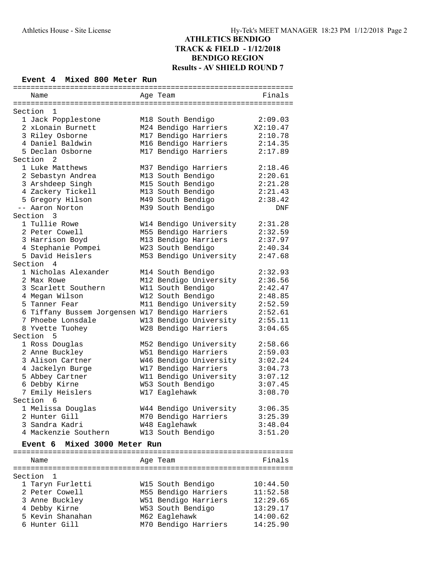#### **Event 4 Mixed 800 Meter Run**

| ===========                                     | :==================================== |            |
|-------------------------------------------------|---------------------------------------|------------|
| Name                                            | Age Team                              | Finals     |
|                                                 |                                       |            |
| Section<br>1                                    |                                       |            |
| 1 Jack Popplestone                              | M18 South Bendigo                     | 2:09.03    |
| 2 xLonain Burnett                               | M24 Bendigo Harriers                  | X2:10.47   |
| 3 Riley Osborne                                 | M17 Bendigo Harriers                  | 2:10.78    |
| 4 Daniel Baldwin                                | M16 Bendigo Harriers                  | 2:14.35    |
| 5 Declan Osborne                                | M17 Bendigo Harriers                  | 2:17.89    |
| Section <sub>2</sub>                            |                                       |            |
| 1 Luke Matthews                                 | M37 Bendigo Harriers                  | 2:18.46    |
| 2 Sebastyn Andrea                               | M13 South Bendigo                     | 2:20.61    |
| 3 Arshdeep Singh                                | M15 South Bendigo                     | 2:21.28    |
| 4 Zackery Tickell                               | M13 South Bendigo                     | 2:21.43    |
| 5 Gregory Hilson                                | M49 South Bendigo                     | 2:38.42    |
| -- Aaron Norton                                 | M39 South Bendigo                     | <b>DNF</b> |
| Section<br>3                                    |                                       |            |
| 1 Tullie Rowe                                   | W14 Bendigo University                | 2:31.28    |
| 2 Peter Cowell                                  | M55 Bendigo Harriers                  | 2:32.59    |
| 3 Harrison Boyd                                 | M13 Bendigo Harriers                  | 2:37.97    |
| 4 Stephanie Pompei                              | W23 South Bendigo                     | 2:40.34    |
| 5 David Heislers                                | M53 Bendigo University                | 2:47.68    |
| Section 4                                       |                                       |            |
| 1 Nicholas Alexander                            | M14 South Bendigo                     | 2:32.93    |
| 2 Max Rowe                                      | M12 Bendigo University                | 2:36.56    |
| 3 Scarlett Southern                             | W11 South Bendigo                     | 2:42.47    |
| 4 Megan Wilson                                  | W12 South Bendigo                     | 2:48.85    |
| 5 Tanner Fear                                   | M11 Bendigo University                | 2:52.59    |
| 6 Tiffany Bussem Jorgensen W17 Bendigo Harriers |                                       | 2:52.61    |
| 7 Phoebe Lonsdale                               | W13 Bendigo University                | 2:55.11    |
| 8 Yvette Tuohey                                 | W28 Bendigo Harriers                  | 3:04.65    |
| Section<br>5                                    |                                       |            |
| 1 Ross Douglas                                  | M52 Bendigo University                | 2:58.66    |
| 2 Anne Buckley                                  | W51 Bendigo Harriers                  | 2:59.03    |
| 3 Alison Cartner                                | W46 Bendigo University                | 3:02.24    |
| 4 Jackelyn Burge                                | W17 Bendigo Harriers                  | 3:04.73    |
| 5 Abbey Cartner                                 | W11 Bendigo University                | 3:07.12    |
| 6 Debby Kirne                                   | W53 South Bendigo                     | 3:07.45    |
| 7 Emily Heislers                                | W17 Eaglehawk                         | 3:08.70    |
| Section<br>6                                    |                                       |            |
| 1 Melissa Douglas                               | W44 Bendigo University                | 3:06.35    |
| 2 Hunter Gill                                   |                                       | 3:25.39    |
| 3 Sandra Kadri                                  | M70 Bendigo Harriers                  |            |
| 4 Mackenzie Southern                            | W48 Eaglehawk                         | 3:48.04    |
|                                                 | W13 South Bendigo                     | 3:51.20    |
| Mixed 3000 Meter Run<br>Event 6                 |                                       |            |
| Name                                            | Age Team                              | Finals     |
|                                                 |                                       |            |
| Section<br>1                                    |                                       |            |
| 1 Taryn Furletti                                | W15 South Bendigo                     | 10:44.50   |
| 2 Peter Cowell                                  | M55 Bendigo Harriers                  | 11:52.58   |
| 3 Anne Buckley                                  | W51 Bendigo Harriers                  | 12:29.65   |
| 4 Debby Kirne                                   | W53 South Bendigo                     | 13:29.17   |
| 5 Kevin Shanahan                                | M62 Eaglehawk                         | 14:00.62   |
|                                                 |                                       |            |
| 6 Hunter Gill                                   | M70 Bendigo Harriers                  | 14:25.90   |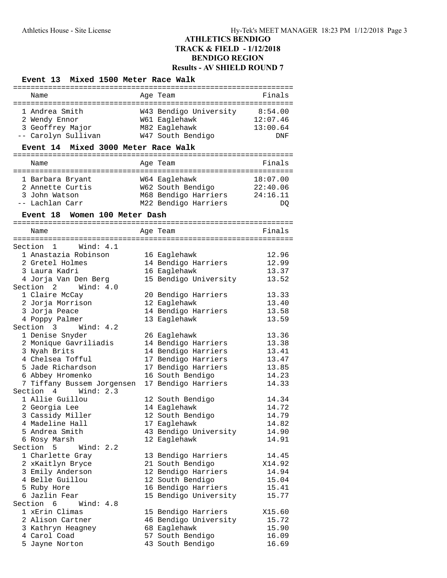#### **Event 13 Mixed 1500 Meter Race Walk**

| . _ _ _ _ _ _ _ _ _ _ _ _ _ _ _ _             | --------------------------------------     |                |
|-----------------------------------------------|--------------------------------------------|----------------|
| Name                                          | Age Team                                   | Finals         |
| 1 Andrea Smith                                | W43 Bendigo University 8:54.00             |                |
| 2 Wendy Ennor                                 | W61 Eaglehawk                              | 12:07.46       |
| 3 Geoffrey Major                              | M82 Eaglehawk                              | 13:00.64       |
| -- Carolyn Sullivan                           | W47 South Bendigo                          | <b>DNF</b>     |
| Mixed 3000 Meter Race Walk<br><b>Event 14</b> |                                            |                |
|                                               |                                            |                |
| Name                                          | Age Team                                   | Finals         |
| 1 Barbara Bryant                              | W64 Eaglehawk                              | 18:07.00       |
| 2 Annette Curtis                              | W62 South Bendigo 22:40.06                 |                |
| 3 John Watson                                 | M68 Bendigo Harriers                       | 24:16.11       |
| -- Lachlan Carr                               | M22 Bendigo Harriers                       | DQ             |
| Event 18 Women 100 Meter Dash                 |                                            |                |
| Name                                          | Age Team                                   | Finals         |
|                                               |                                            |                |
| Section 1 Wind: 4.1                           |                                            |                |
| 1 Anastazia Robinson                          | 16 Eaglehawk                               | 12.96          |
| 2 Gretel Holmes                               | 14 Bendigo Harriers                        | 12.99          |
| 3 Laura Kadri                                 | 16 Eaglehawk                               | 13.37          |
| 4 Jorja Van Den Berg                          | 15 Bendigo University                      | 13.52          |
| Wind: $4.0$<br>Section 2                      |                                            |                |
| 1 Claire McCay                                | 20 Bendigo Harriers                        | 13.33          |
| 2 Jorja Morrison                              | 12 Eaglehawk                               | 13.40          |
| 3 Jorja Peace                                 | 14 Bendigo Harriers                        | 13.58          |
| 4 Poppy Palmer                                | 13 Eaglehawk                               | 13.59          |
| Section 3<br>Wind: $4.2$                      |                                            |                |
| 1 Denise Snyder                               | 26 Eaglehawk                               | 13.36          |
| 2 Monique Gavriliadis<br>3 Nyah Brits         | 14 Bendigo Harriers                        | 13.38<br>13.41 |
| 4 Chelsea Tofful                              | 14 Bendigo Harriers<br>17 Bendigo Harriers | 13.47          |
| 5 Jade Richardson                             | 17 Bendigo Harriers                        | 13.85          |
| 6 Abbey Hromenko                              | 16 South Bendigo                           | 14.23          |
| 7 Tiffany Bussem Jorgensen                    | 17 Bendigo Harriers                        | 14.33          |
| Section 4<br>Wind: 2.3                        |                                            |                |
| 1 Allie Guillou                               | 12 South Bendigo                           | 14.34          |
| 2 Georgia Lee                                 | 14 Eaglehawk                               | 14.72          |
| 3 Cassidy Miller                              | 12 South Bendigo                           | 14.79          |
| 4 Madeline Hall                               | 17 Eaglehawk                               | 14.82          |
| 5 Andrea Smith                                | 43 Bendigo University                      | 14.90          |
| 6 Rosy Marsh                                  | 12 Eaglehawk                               | 14.91          |
| Section<br>5<br>Wind: $2.2$                   |                                            |                |
| 1 Charlette Gray                              | 13 Bendigo Harriers                        | 14.45          |
| 2 xKaitlyn Bryce                              | 21 South Bendigo                           | X14.92         |
| 3 Emily Anderson                              | 12 Bendigo Harriers                        | 14.94          |
| 4 Belle Guillou                               | 12 South Bendigo                           | 15.04          |
| 5 Ruby Hore                                   | 16 Bendigo Harriers                        | 15.41          |
| 6 Jazlin Fear                                 | 15 Bendigo University                      | 15.77          |
| Section 6<br>Wind: 4.8                        |                                            |                |
| 1 xErin Climas                                | 15 Bendigo Harriers                        | X15.60         |
| 2 Alison Cartner                              | 46 Bendigo University                      | 15.72          |
| 3 Kathryn Heagney                             | 68 Eaglehawk                               | 15.90          |
| 4 Carol Coad                                  | 57 South Bendigo                           | 16.09          |
| 5 Jayne Norton                                | 43 South Bendigo                           | 16.69          |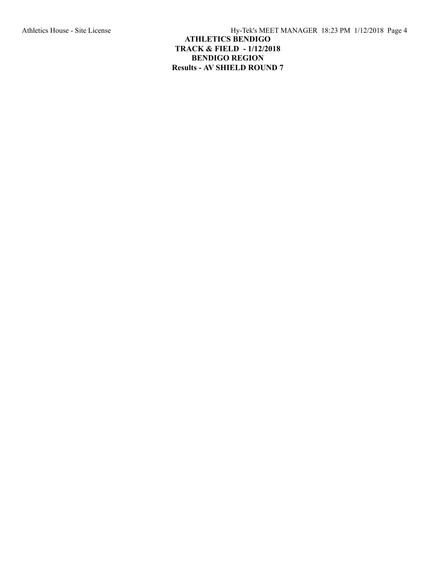Athletics House - Site License Hy-Tek's MEET MANAGER 18:23 PM 1/12/2018 Page 4

# **ATHLETICS BENDIGO TRACK & FIELD - 1/12/2018 BENDIGO REGION Results - AV SHIELD ROUND 7**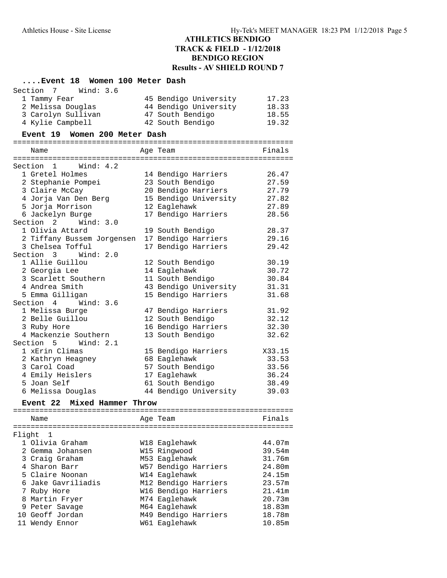### **....Event 18 Women 100 Meter Dash**

| Section<br>$\overline{7}$<br>Wind: 3.6 |                       |        |
|----------------------------------------|-----------------------|--------|
| 1 Tammy Fear                           | 45 Bendigo University | 17.23  |
| 2 Melissa Douglas                      | 44 Bendigo University | 18.33  |
| 3 Carolyn Sullivan                     | 47 South Bendigo      | 18.55  |
| 4 Kylie Campbell                       | 42 South Bendigo      | 19.32  |
| Event 19 Women 200 Meter Dash          |                       |        |
|                                        |                       |        |
| Name                                   | Age Team              | Finals |
| Section 1<br>Wind: $4.2$               |                       |        |
| 1 Gretel Holmes                        | 14 Bendigo Harriers   | 26.47  |
| 2 Stephanie Pompei                     | 23 South Bendigo      | 27.59  |
| 3 Claire McCay                         | 20 Bendigo Harriers   | 27.79  |
| 4 Jorja Van Den Berg                   | 15 Bendigo University | 27.82  |
| 5 Jorja Morrison                       | 12 Eaglehawk          | 27.89  |
| 6 Jackelyn Burge                       | 17 Bendigo Harriers   | 28.56  |
| Section 2<br>Wind: 3.0                 |                       |        |
| 1 Olivia Attard                        | 19 South Bendigo      | 28.37  |
| 2 Tiffany Bussem Jorgensen             | 17 Bendigo Harriers   | 29.16  |
| 3 Chelsea Tofful                       | 17 Bendigo Harriers   | 29.42  |
| Section 3 Wind: 2.0                    |                       |        |
| 1 Allie Guillou                        | 12 South Bendigo      | 30.19  |
| 2 Georgia Lee                          | 14 Eaglehawk          | 30.72  |
| 3 Scarlett Southern                    | 11 South Bendigo      | 30.84  |
| 4 Andrea Smith                         | 43 Bendigo University | 31.31  |
| 5 Emma Gilligan                        | 15 Bendigo Harriers   | 31.68  |
| Section 4 Wind: 3.6                    |                       |        |
| 1 Melissa Burge                        | 47 Bendigo Harriers   | 31.92  |
| 2 Belle Guillou                        | 12 South Bendigo      | 32.12  |
| 3 Ruby Hore                            | 16 Bendigo Harriers   | 32.30  |
| 4 Mackenzie Southern                   | 13 South Bendigo      | 32.62  |
| Section 5<br>Wind: 2.1                 |                       |        |
| 1 xErin Climas                         | 15 Bendigo Harriers   | X33.15 |
| 2 Kathryn Heagney                      | 68 Eaglehawk          | 33.53  |
| 3 Carol Coad                           | 57 South Bendigo      | 33.56  |
| 4 Emily Heislers                       | 17 Eaglehawk          | 36.24  |
| 5 Joan Self                            | 61 South Bendigo      | 38.49  |
| 6 Melissa Douglas                      | 44 Bendigo University | 39.03  |
| Event 22<br>Mixed Hammer Throw         |                       |        |
|                                        |                       |        |
| Name                                   | Age Team              | Finals |
| Flight<br>1                            |                       |        |
| 1 Olivia Graham                        | W18 Eaglehawk         | 44.07m |

| 1 Olivia Graham    | W18 Eaglehawk        | 44.07m |
|--------------------|----------------------|--------|
| 2 Gemma Johansen   | W15 Ringwood         | 39.54m |
| 3 Craig Graham     | M53 Eaglehawk        | 31.76m |
| 4 Sharon Barr      | W57 Bendigo Harriers | 24.80m |
| 5 Claire Noonan    | W14 Eaglehawk        | 24.15m |
| 6 Jake Gavriliadis | M12 Bendigo Harriers | 23.57m |
| 7 Ruby Hore        | W16 Bendigo Harriers | 21.41m |
| 8 Martin Fryer     | M74 Eaglehawk        | 20.73m |
| 9 Peter Savage     | M64 Eaglehawk        | 18.83m |
| 10 Geoff Jordan    | M49 Bendigo Harriers | 18.78m |
| 11 Wendy Ennor     | W61 Eaglehawk        | 10.85m |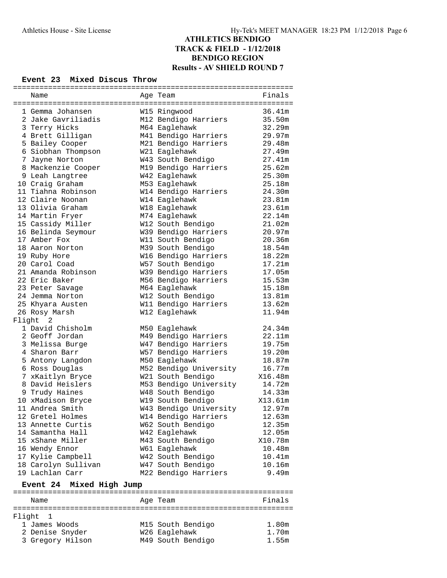#### **Event 23 Mixed Discus Throw**

| Name                        | Age Team                       | Finals  |  |  |
|-----------------------------|--------------------------------|---------|--|--|
|                             |                                |         |  |  |
| 1 Gemma Johansen            | W15 Ringwood                   | 36.41m  |  |  |
| 2 Jake Gavriliadis          | M12 Bendigo Harriers           | 35.50m  |  |  |
| 3 Terry Hicks               | M64 Eaglehawk                  | 32.29m  |  |  |
| 4 Brett Gilligan            | M41 Bendigo Harriers<br>29.97m |         |  |  |
| 5 Bailey Cooper             | M21 Bendigo Harriers           | 29.48m  |  |  |
| 6 Siobhan Thompson          | W21 Eaglehawk                  | 27.49m  |  |  |
| 7 Jayne Norton              | W43 South Bendigo              | 27.41m  |  |  |
| 8 Mackenzie Cooper          | M19 Bendigo Harriers           | 25.62m  |  |  |
| 9 Leah Langtree             | W42 Eaglehawk                  | 25.30m  |  |  |
| 10 Craig Graham             | M53 Eaglehawk                  | 25.18m  |  |  |
| 11 Tiahna Robinson          | W14 Bendigo Harriers           | 24.30m  |  |  |
| 12 Claire Noonan            | W14 Eaglehawk                  | 23.81m  |  |  |
| 13 Olivia Graham            | W18 Eaglehawk                  | 23.61m  |  |  |
| 14 Martin Fryer             | M74 Eaglehawk                  | 22.14m  |  |  |
| 15 Cassidy Miller           | W12 South Bendigo              | 21.02m  |  |  |
| 16 Belinda Seymour          | W39 Bendigo Harriers           | 20.97m  |  |  |
| 17 Amber Fox                | W11 South Bendigo              | 20.36m  |  |  |
| 18 Aaron Norton             | M39 South Bendigo              | 18.54m  |  |  |
| 19 Ruby Hore                | W16 Bendigo Harriers           | 18.22m  |  |  |
| 20 Carol Coad               | W57 South Bendigo              | 17.21m  |  |  |
| 21 Amanda Robinson          | W39 Bendigo Harriers           | 17.05m  |  |  |
| 22 Eric Baker               | M56 Bendigo Harriers           | 15.53m  |  |  |
| 23 Peter Savage             | M64 Eaglehawk                  | 15.18m  |  |  |
| 24 Jemma Norton             | W12 South Bendigo              | 13.81m  |  |  |
| 25 Khyara Austen            | W11 Bendigo Harriers           | 13.62m  |  |  |
| 26 Rosy Marsh               | W12 Eaglehawk                  | 11.94m  |  |  |
| Flight<br>2                 |                                |         |  |  |
| 1 David Chisholm            | M50 Eaglehawk                  | 24.34m  |  |  |
| 2 Geoff Jordan              | M49 Bendigo Harriers           | 22.11m  |  |  |
| 3 Melissa Burge             | W47 Bendigo Harriers           | 19.75m  |  |  |
| 4 Sharon Barr               | W57 Bendigo Harriers           | 19.20m  |  |  |
| 5 Antony Langdon            | M50 Eaglehawk                  | 18.87m  |  |  |
| 6 Ross Douglas              | M52 Bendigo University         | 16.77m  |  |  |
| 7 xKaitlyn Bryce            | W21 South Bendigo              | X16.48m |  |  |
| 8 David Heislers            | M53 Bendigo University         | 14.72m  |  |  |
| 9 Trudy Haines              | W48 South Bendigo              | 14.33m  |  |  |
| 10 xMadison Bryce           | W19 South Bendigo              | X13.61m |  |  |
| 11 Andrea Smith             | W43 Bendigo University         | 12.97m  |  |  |
| 12 Gretel Holmes            | W14 Bendigo Harriers           | 12.63m  |  |  |
| 13 Annette Curtis           | W62 South Bendigo              | 12.35m  |  |  |
| 14 Samantha Hall            | W42 Eaglehawk                  | 12.05m  |  |  |
| 15 xShane Miller            | M43 South Bendigo              | X10.78m |  |  |
| 16 Wendy Ennor              | W61 Eaglehawk                  | 10.48m  |  |  |
| 17 Kylie Campbell           | W42 South Bendigo              | 10.41m  |  |  |
| 18 Carolyn Sullivan         | W47 South Bendigo              | 10.16m  |  |  |
| 19 Lachlan Carr             | M22 Bendigo Harriers           | 9.49m   |  |  |
|                             |                                |         |  |  |
| Mixed High Jump<br>Event 24 |                                |         |  |  |
|                             |                                |         |  |  |

| Name             | Age Team          | Finals |
|------------------|-------------------|--------|
| Flight 1         |                   |        |
| 1 James Woods    | M15 South Bendigo | 1.80m  |
| 2 Denise Snyder  | W26 Eaglehawk     | 1.70m  |
| 3 Gregory Hilson | M49 South Bendigo | 1.55m  |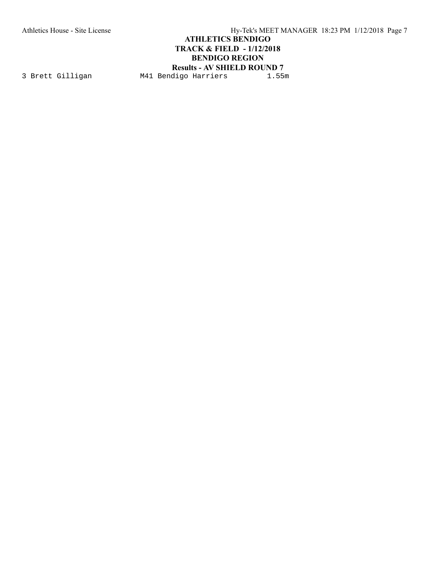Athletics House - Site License Hy-Tek's MEET MANAGER 18:23 PM 1/12/2018 Page 7

# **ATHLETICS BENDIGO TRACK & FIELD - 1/12/2018 BENDIGO REGION**

**Results - AV SHIELD ROUND 7**<br>digo Harriers 1.55m 3 Brett Gilligan M41 Bendigo Harriers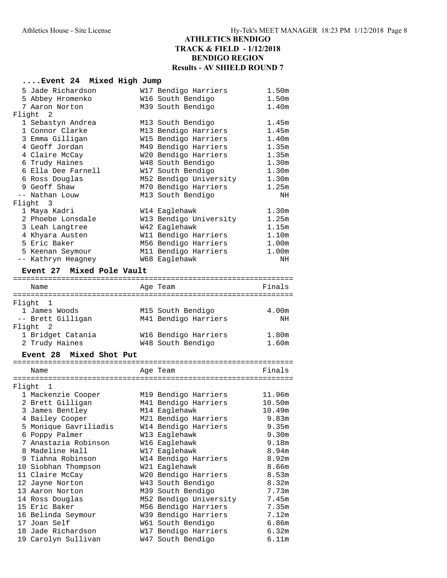#### **....Event 24 Mixed High Jump**

| 5 Jade Richardson                                      | W17 Bendigo Harriers                      | 1.50m             |
|--------------------------------------------------------|-------------------------------------------|-------------------|
| 5 Abbey Hromenko                                       | W16 South Bendigo                         | 1.50m             |
| 7 Aaron Norton                                         | M39 South Bendigo                         | 1.40m             |
| Flight 2                                               |                                           |                   |
| 1 Sebastyn Andrea                                      | M13 South Bendigo                         | 1.45m             |
| 1 Connor Clarke                                        | M13 Bendigo Harriers                      | 1.45m             |
| 3 Emma Gilligan                                        | W15 Bendigo Harriers                      | 1.40m             |
| 4 Geoff Jordan                                         | M49 Bendigo Harriers                      | 1.35m             |
| 4 Claire McCay                                         | W20 Bendigo Harriers                      | 1.35m             |
| 6 Trudy Haines                                         | W48 South Bendigo                         | 1.30 <sub>m</sub> |
| 6 Ella Dee Farnell                                     | W17 South Bendigo                         | 1.30m             |
| 6 Ross Douglas                                         | M52 Bendigo University                    | 1.30 <sub>m</sub> |
| 9 Geoff Shaw                                           | M70 Bendigo Harriers                      | 1.25m             |
| -- Nathan Louw                                         | M13 South Bendigo                         | ΝH                |
| Flight<br>$\overline{\phantom{a}}$                     |                                           |                   |
| 1 Maya Kadri                                           | W14 Eaglehawk                             | 1.30 <sub>m</sub> |
| 2 Phoebe Lonsdale                                      | W13 Bendigo University                    | 1.25m             |
| 3 Leah Langtree                                        | W42 Eaglehawk                             | 1.15m             |
| 4 Khyara Austen                                        | W11 Bendigo Harriers                      | 1.10 <sub>m</sub> |
| 5 Eric Baker                                           | M56 Bendigo Harriers                      | 1.00m             |
| 5 Keenan Seymour                                       | M11 Bendigo Harriers                      | 1.00m             |
| -- Kathryn Heagney                                     | W68 Eaglehawk                             | NH                |
| Event 27 Mixed Pole Vault                              |                                           |                   |
|                                                        |                                           |                   |
| Name<br>=============<br>:============================ | Age Team                                  | Finals            |
| Flight 1                                               |                                           |                   |
| 1 James Woods                                          | M15 South Bendigo                         | 4.00m             |
| -- Brett Gilligan                                      | M41 Bendigo Harriers                      | NH                |
| Flight<br>$\overline{\phantom{0}}^2$                   |                                           |                   |
| 1 Bridget Catania                                      | W16 Bendigo Harriers                      | 1.80 <sub>m</sub> |
| 2 Trudy Haines                                         | W48 South Bendigo                         | 1.60m             |
|                                                        |                                           |                   |
| Mixed Shot Put<br><b>Event 28</b>                      |                                           |                   |
|                                                        |                                           |                   |
|                                                        |                                           |                   |
| Name                                                   | Age Team                                  | Finals            |
| Flight<br>$\mathbf{1}$                                 |                                           |                   |
|                                                        |                                           | 11.96m            |
| 1 Mackenzie Cooper<br>2 Brett Gilligan                 | M19 Bendigo Harriers                      | 10.50m            |
| 3 James Bentley                                        | M41 Bendigo Harriers<br>M14 Eaglehawk     | 10.49m            |
| 4 Bailey Cooper                                        | M21 Bendigo Harriers                      | 9.83m             |
| 5 Monique Gavriliadis                                  | W14 Bendigo Harriers                      | 9.35 <sub>m</sub> |
| 6 Poppy Palmer                                         | W13 Eaglehawk                             | 9.30m             |
| 7 Anastazia Robinson                                   | W16 Eaglehawk                             | 9.18m             |
| 8 Madeline Hall                                        | W17 Eaglehawk                             | 8.94m             |
| 9 Tiahna Robinson                                      | W14 Bendigo Harriers                      | 8.92m             |
| 10 Siobhan Thompson                                    | W21 Eaglehawk                             | 8.66m             |
| 11 Claire McCay                                        | W20 Bendigo Harriers                      | 8.53m             |
| 12 Jayne Norton                                        | W43 South Bendigo                         | 8.32m             |
| 13 Aaron Norton                                        | M39 South Bendigo                         | 7.73m             |
| 14 Ross Douglas                                        | M52 Bendigo University                    | 7.45m             |
| 15 Eric Baker                                          | M56 Bendigo Harriers                      | 7.35m             |
| 16 Belinda Seymour                                     | W39 Bendigo Harriers                      | 7.12m             |
| 17 Joan Self                                           | W61 South Bendigo                         | 6.86m             |
| 18 Jade Richardson<br>19 Carolyn Sullivan              | W17 Bendigo Harriers<br>W47 South Bendigo | 6.32m<br>6.11m    |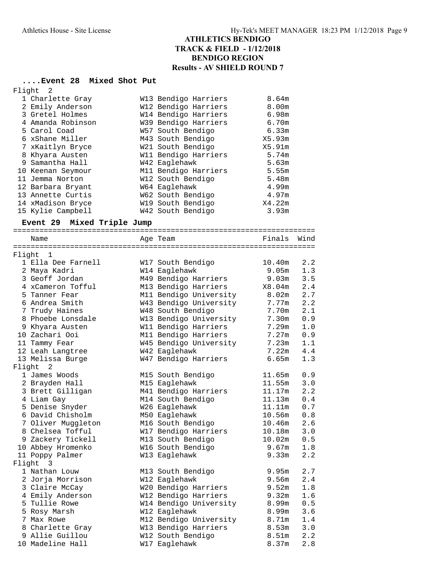# **....Event 28 Mixed Shot Put**

| Flight | - 2               |                      |        |
|--------|-------------------|----------------------|--------|
|        | 1 Charlette Gray  | W13 Bendigo Harriers | 8.64m  |
|        | 2 Emily Anderson  | W12 Bendigo Harriers | 8.00m  |
|        | 3 Gretel Holmes   | W14 Bendigo Harriers | 6.98m  |
|        | 4 Amanda Robinson | W39 Bendigo Harriers | 6.70m  |
|        | 5 Carol Coad      | W57 South Bendigo    | 6.33m  |
|        | 6 xShane Miller   | M43 South Bendigo    | X5.93m |
|        | 7 xKaitlyn Bryce  | W21 South Bendigo    | X5.91m |
|        | 8 Khyara Austen   | W11 Bendigo Harriers | 5.74m  |
|        | 9 Samantha Hall   | W42 Eaglehawk        | 5.63m  |
|        | 10 Keenan Seymour | M11 Bendigo Harriers | 5.55m  |
|        | 11 Jemma Norton   | W12 South Bendigo    | 5.48m  |
|        | 12 Barbara Bryant | W64 Eaglehawk        | 4.99m  |
|        | 13 Annette Curtis | W62 South Bendigo    | 4.97m  |
|        | 14 xMadison Bryce | W19 South Bendigo    | X4.22m |
|        | 15 Kylie Campbell | W42 South Bendigo    | 3.93m  |

### **Event 29 Mixed Triple Jump**

| Name               | Age Team               | Finals            | Wind |
|--------------------|------------------------|-------------------|------|
|                    |                        |                   |      |
| Flight 1           |                        |                   |      |
| 1 Ella Dee Farnell | W17 South Bendigo      | 10.40m            | 2.2  |
| 2 Maya Kadri       | W14 Eaglehawk          | 9.05m             | 1.3  |
| 3 Geoff Jordan     | M49 Bendigo Harriers   | 9.03m             | 3.5  |
| 4 xCameron Tofful  | M13 Bendigo Harriers   | $\texttt{X8.04m}$ | 2.4  |
| 5 Tanner Fear      | M11 Bendigo University | 8.02m             | 2.7  |
| 6 Andrea Smith     | W43 Bendigo University | 7.77m             | 2.2  |
| 7 Trudy Haines     | W48 South Bendigo      | 7.70m             | 2.1  |
| 8 Phoebe Lonsdale  | W13 Bendigo University | 7.30m             | 0.9  |
| 9 Khyara Austen    | W11 Bendigo Harriers   | 7.29m             | 1.0  |
| 10 Zachari Ooi     | M11 Bendigo Harriers   | 7.27m             | 0.9  |
| 11 Tammy Fear      | W45 Bendigo University | 7.23m             | 1.1  |
| 12 Leah Langtree   | W42 Eaglehawk          | 7.22m             | 4.4  |
| 13 Melissa Burge   | W47 Bendigo Harriers   | 6.65m             | 1.3  |
| Flight 2           |                        |                   |      |
| 1 James Woods      | M15 South Bendigo      | 11.65m            | 0.9  |
| 2 Brayden Hall     | M15 Eaglehawk          | 11.55m            | 3.0  |
| 3 Brett Gilligan   | M41 Bendigo Harriers   | 11.17m            | 2.2  |
| 4 Liam Gay         | M14 South Bendigo      | 11.13m            | 0.4  |
| 5 Denise Snyder    | W26 Eaglehawk          | 11.11m            | 0.7  |
| 6 David Chisholm   | M50 Eaglehawk          | 10.56m            | 0.8  |
| 7 Oliver Muggleton | M16 South Bendigo      | 10.46m            | 2.6  |
| 8 Chelsea Tofful   | W17 Bendigo Harriers   | 10.18m            | 3.0  |
| 9 Zackery Tickell  | M13 South Bendigo      | 10.02m            | 0.5  |
| 10 Abbey Hromenko  | W16 South Bendigo      | 9.67m             | 1.8  |
| 11 Poppy Palmer    | W13 Eaglehawk          | 9.33m             | 2.2  |
| Flight 3           |                        |                   |      |
| 1 Nathan Louw      | M13 South Bendigo      | 9.95m             | 2.7  |
| 2 Jorja Morrison   | W12 Eaglehawk          | 9.56m             | 2.4  |
| 3 Claire McCay     | W20 Bendigo Harriers   | 9.52m             | 1.8  |
| 4 Emily Anderson   | W12 Bendigo Harriers   | 9.32m             | 1.6  |
| 5 Tullie Rowe      | W14 Bendigo University | 8.99m             | 0.5  |
| 5 Rosy Marsh       | W12 Eaglehawk          | 8.99m             | 3.6  |
| 7 Max Rowe         | M12 Bendigo University | 8.71m             | 1.4  |
| 8 Charlette Gray   | W13 Bendigo Harriers   | 8.53m             | 3.0  |
| 9 Allie Guillou    | W12 South Bendigo      | 8.51m             | 2.2  |
| 10 Madeline Hall   | W17 Eaglehawk          | 8.37m             | 2.8  |
|                    |                        |                   |      |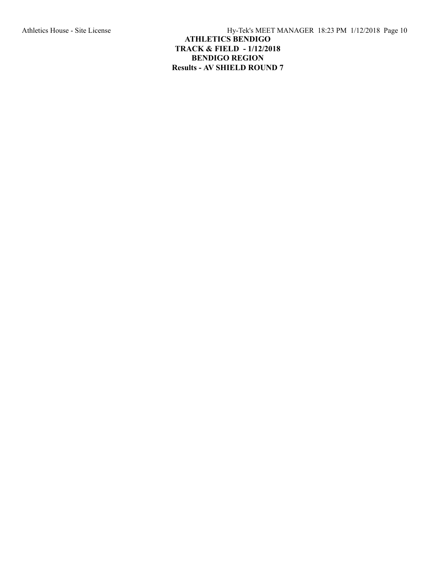Athletics House - Site License Hy-Tek's MEET MANAGER 18:23 PM 1/12/2018 Page 10 **ATHLETICS BENDIGO TRACK & FIELD - 1/12/2018 BENDIGO REGION Results - AV SHIELD ROUND 7**